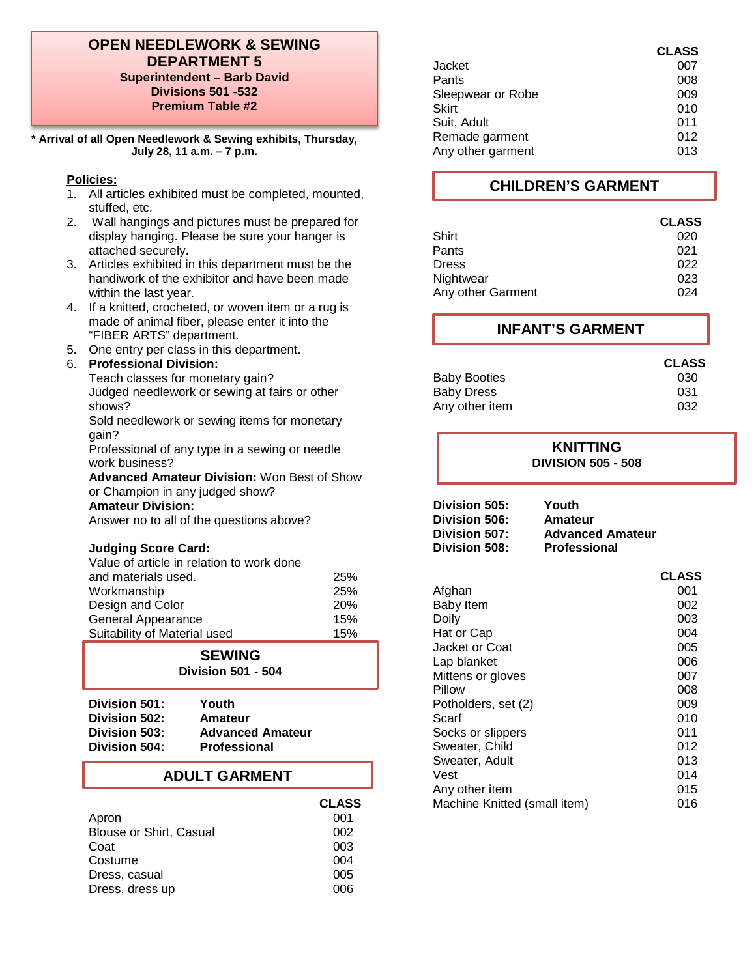## **OPEN NEEDLEWORK & SEWING DEPARTMENT 5 Superintendent – Barb David Divisions 501 -532 Premium Table #2**

**\* Arrival of all Open Needlework & Sewing exhibits, Thursday, July 28, 11 a.m. – 7 p.m.**

#### **Policies:**

- 1. All articles exhibited must be completed, mounted, stuffed, etc.
- 2. Wall hangings and pictures must be prepared for display hanging. Please be sure your hanger is attached securely.
- 3. Articles exhibited in this department must be the handiwork of the exhibitor and have been made within the last year.
- 4. If a knitted, crocheted, or woven item or a rug is made of animal fiber, please enter it into the "FIBER ARTS" department.
- 5. One entry per class in this department.

## 6. **Professional Division:**

Teach classes for monetary gain? Judged needlework or sewing at fairs or other shows?

Sold needlework or sewing items for monetary gain?

Professional of any type in a sewing or needle work business?

**Advanced Amateur Division:** Won Best of Show or Champion in any judged show? **Amateur Division:**

Answer no to all of the questions above?

#### **Judging Score Card:**

| Value of article in relation to work done |            |
|-------------------------------------------|------------|
| and materials used.                       | 25%        |
| Workmanship                               | 25%        |
| Design and Color                          | <b>20%</b> |
| General Appearance                        | 15%        |
| Suitability of Material used              | 15%        |

## **SEWING**

**Division 501 - 504**

| Division 501: | Youth                   |
|---------------|-------------------------|
| Division 502: | Amateur                 |
| Division 503: | <b>Advanced Amateur</b> |
| Division 504: | <b>Professional</b>     |

# **ADULT GARMENT**

|                                | <b>CLASS</b> |
|--------------------------------|--------------|
| Apron                          | 001          |
| <b>Blouse or Shirt, Casual</b> | 002          |
| Coat                           | 003          |
| Costume                        | 004          |
| Dress, casual                  | 005          |
| Dress, dress up                | 006          |
|                                |              |

| <b>CLASS</b> |
|--------------|
| 007          |
| 008          |
| 009          |
| 010          |
| 011          |
| 012          |
| 013          |
|              |

# **CHILDREN'S GARMENT**

| <b>CLASS</b> |
|--------------|
| 020          |
| 021          |
| 022          |
| 023          |
| በ24          |
|              |

## **INFANT'S GARMENT**

|                     | <b>CLASS</b> |
|---------------------|--------------|
| <b>Baby Booties</b> | 030          |
| Baby Dress          | 031          |
| Any other item      | 032          |

#### **KNITTING DIVISION 505 - 508**

| Division 505: | Youth                   |
|---------------|-------------------------|
| Division 506: | Amateur                 |
| Division 507: | <b>Advanced Amateur</b> |
| Division 508: | <b>Professional</b>     |

|                              | <b>CLASS</b> |
|------------------------------|--------------|
| Afghan                       | 001          |
| <b>Baby Item</b>             | 002          |
| Doily                        | 003          |
| Hat or Cap                   | 004          |
| Jacket or Coat               | 005          |
| Lap blanket                  | 006          |
| Mittens or gloves            | 007          |
| Pillow                       | 008          |
| Potholders, set (2)          | 009          |
| Scarf                        | 010          |
| Socks or slippers            | 011          |
| Sweater, Child               | 012          |
| Sweater, Adult               | 013          |
| Vest                         | 014          |
| Any other item               | 015          |
| Machine Knitted (small item) | 016          |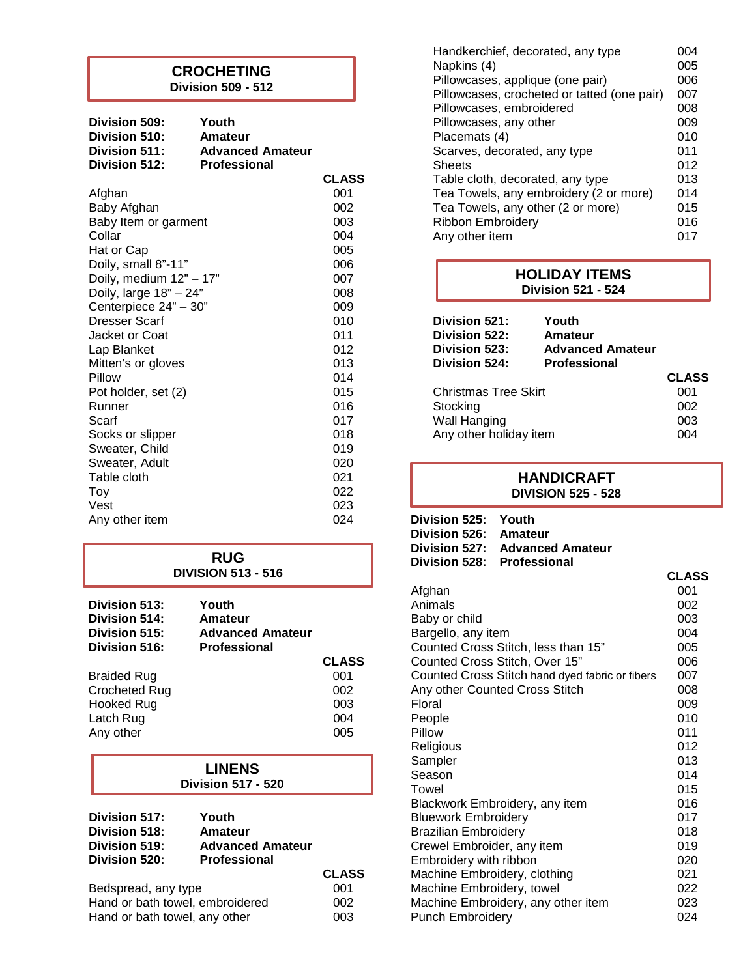# **CROCHETING**

**Division 509 - 512**

| Division 509:<br>Division 510:<br>Division 511:<br>Division 512: | Youth<br>Amateur<br><b>Advanced Amateur</b><br><b>Professional</b> |              |
|------------------------------------------------------------------|--------------------------------------------------------------------|--------------|
|                                                                  |                                                                    | <b>CLASS</b> |
| Afghan                                                           |                                                                    | 001          |
| Baby Afghan                                                      |                                                                    | 002          |
| Baby Item or garment                                             |                                                                    | 003          |
| Collar                                                           |                                                                    | 004          |
| Hat or Cap                                                       |                                                                    | 005          |
| Doily, small 8"-11"                                              |                                                                    | 006          |
| Doily, medium 12" - 17"                                          |                                                                    | 007          |
| Doily, large 18" - 24"                                           |                                                                    | 008          |
| Centerpiece 24" - 30"                                            |                                                                    | 009          |
| <b>Dresser Scarf</b>                                             |                                                                    | 010          |
| Jacket or Coat                                                   |                                                                    | 011          |
| Lap Blanket                                                      |                                                                    | 012          |
| Mitten's or gloves                                               |                                                                    | 013          |
| Pillow                                                           |                                                                    | 014          |
| Pot holder, set (2)                                              |                                                                    | 015          |
| Runner<br>Scarf                                                  |                                                                    | 016<br>017   |
|                                                                  |                                                                    | 018          |
| Socks or slipper<br>Sweater, Child                               |                                                                    | 019          |
| Sweater, Adult                                                   |                                                                    | 020          |
| Table cloth                                                      |                                                                    | 021          |
| Toy                                                              |                                                                    | 022          |
| Vest                                                             |                                                                    | 023          |
| Any other item                                                   |                                                                    | 024          |
|                                                                  |                                                                    |              |

## **RUG DIVISION 513 - 516**

| Division 513:<br>Division 514:<br>Division 515:<br>Division 516: | Youth<br>Amateur<br><b>Advanced Amateur</b><br><b>Professional</b> |              |
|------------------------------------------------------------------|--------------------------------------------------------------------|--------------|
|                                                                  |                                                                    | <b>CLASS</b> |
| <b>Braided Rug</b>                                               |                                                                    | 001          |
| <b>Crocheted Rug</b>                                             |                                                                    | 002          |
| <b>Hooked Rug</b>                                                |                                                                    | 003          |
| Latch Rug                                                        |                                                                    | 004          |
| Any other                                                        |                                                                    | 005          |

**LINENS Division 517 - 520**

| Division 517: | Youth                   |
|---------------|-------------------------|
| Division 518: | Amateur                 |
| Division 519: | <b>Advanced Amateur</b> |
| Division 520: | <b>Professional</b>     |
|               |                         |

|                                 | <b>CLASS</b> |
|---------------------------------|--------------|
| Bedspread, any type             | 001          |
| Hand or bath towel, embroidered | 002          |
| Hand or bath towel, any other   | 003          |

| Handkerchief, decorated, any type<br>Napkins (4) | 004<br>005 |
|--------------------------------------------------|------------|
| Pillowcases, applique (one pair)                 | 006        |
| Pillowcases, crocheted or tatted (one pair)      | 007        |
| Pillowcases, embroidered                         | 008        |
| Pillowcases, any other                           | 009        |
| Placemats (4)                                    | 010        |
| Scarves, decorated, any type                     | 011        |
| <b>Sheets</b>                                    | 012        |
| Table cloth, decorated, any type                 | 013        |
| Tea Towels, any embroidery (2 or more)           | 014        |
| Tea Towels, any other (2 or more)                | 015        |
| Ribbon Embroidery                                | 016        |
| Any other item                                   | 017        |

# **Division 521: Youth HOLIDAY ITEMS Division 521 - 524**

|                      | Division 522:<br>Division 523: | Amateur<br><b>Advanced Amateur</b> |              |
|----------------------|--------------------------------|------------------------------------|--------------|
|                      | Division 524:                  | <b>Professional</b>                | <b>CLASS</b> |
| Christmas Tree Skirt |                                | 001                                |              |
|                      | Stocking                       |                                    | 002          |
|                      | Wall Hanging                   |                                    | 003          |
|                      | Any other holiday item         |                                    | 004          |
|                      |                                |                                    |              |

# **HANDICRAFT DIVISION 525 - 528**

| Division 525: Youth        |                                |
|----------------------------|--------------------------------|
| Division 526: Amateur      |                                |
|                            | Division 527: Advanced Amateur |
| Division 528: Professional |                                |

|                                                 | <b>CLASS</b> |
|-------------------------------------------------|--------------|
| Afghan                                          | 001          |
| Animals                                         | 002          |
| Baby or child                                   | 003          |
| Bargello, any item                              | 004          |
| Counted Cross Stitch, less than 15"             | 005          |
| Counted Cross Stitch, Over 15"                  | 006          |
| Counted Cross Stitch hand dyed fabric or fibers | 007          |
| Any other Counted Cross Stitch                  | 008          |
| Floral                                          | 009          |
| People                                          | 010          |
| Pillow                                          | 011          |
| Religious                                       | 012          |
| Sampler                                         | 013          |
| Season                                          | 014          |
| Towel                                           | 015          |
| Blackwork Embroidery, any item                  | 016          |
| <b>Bluework Embroidery</b>                      | 017          |
| <b>Brazilian Embroidery</b>                     | 018          |
| Crewel Embroider, any item                      | 019          |
| Embroidery with ribbon                          | 020          |
| Machine Embroidery, clothing                    | 021          |
| Machine Embroidery, towel                       | 022          |
| Machine Embroidery, any other item              | 023          |
| <b>Punch Embroidery</b>                         | 024          |